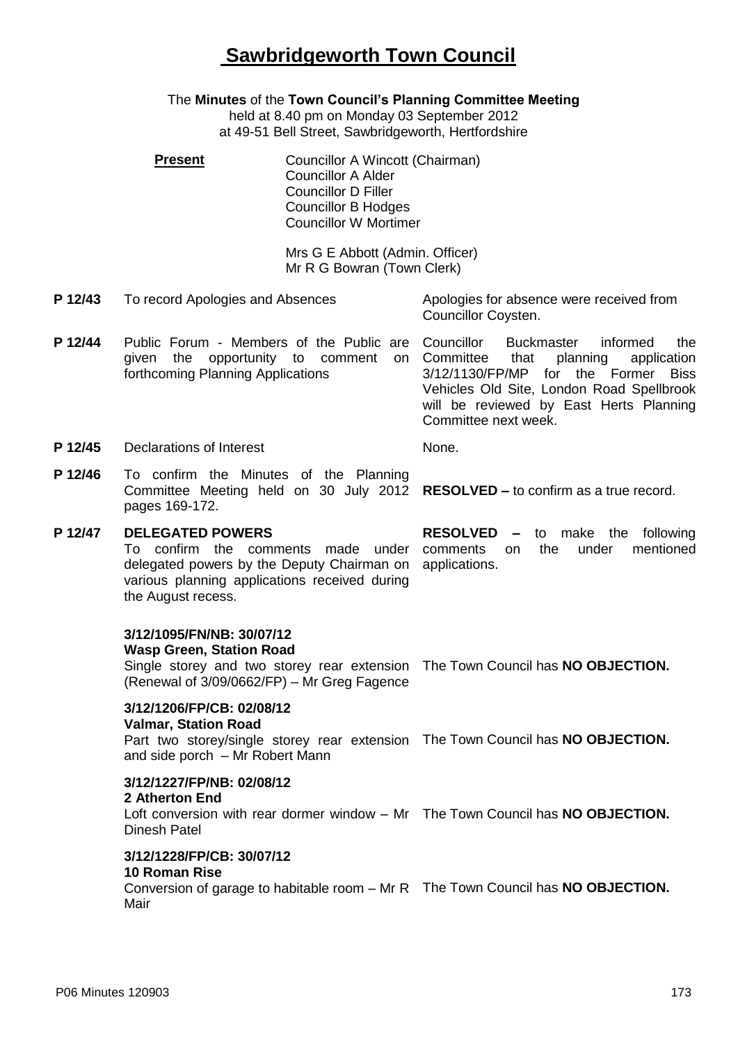# **Sawbridgeworth Town Council**

The **Minutes** of the **Town Council's Planning Committee Meeting**

held at 8.40 pm on Monday 03 September 2012 at 49-51 Bell Street, Sawbridgeworth, Hertfordshire

| <b>Present</b> | Councillor A Wincott (Chairman)<br><b>Councillor A Alder</b><br><b>Councillor D Filler</b><br><b>Councillor B Hodges</b><br><b>Councillor W Mortimer</b> |
|----------------|----------------------------------------------------------------------------------------------------------------------------------------------------------|
|                | Mrs G E Abbott (Admin. Officer)                                                                                                                          |

Mr R G Bowran (Town Clerk)

- **P 12/43** To record Apologies and Absences Apologies for absence were received from Councillor Coysten.
- **P 12/44** Public Forum Members of the Public are Councillor given the opportunity to comment on Committee that planning application forthcoming Planning Applications Buckmaster informed the 3/12/1130/FP/MP for the Former Biss Vehicles Old Site, London Road Spellbrook will be reviewed by East Herts Planning

**P 12/45** Declarations of Interest None.

**P 12/46** To confirm the Minutes of the Planning Committee Meeting held on 30 July 2012 **RESOLVED –** to confirm as a true record. pages 169-172.

### **P 12/47 DELEGATED POWERS** To confirm the comments made under comments on the under mentioned delegated powers by the Deputy Chairman on applications. various planning applications received during the August recess.

**RESOLVED –** to make the following

Committee next week.

## **3/12/1095/FN/NB: 30/07/12**

**Wasp Green, Station Road**

Single storey and two storey rear extension The Town Council has **NO OBJECTION.** (Renewal of 3/09/0662/FP) – Mr Greg Fagence

## **3/12/1206/FP/CB: 02/08/12**

## **Valmar, Station Road**

Part two storey/single storey rear extension The Town Council has **NO OBJECTION.** and side porch – Mr Robert Mann

## **3/12/1227/FP/NB: 02/08/12**

### **2 Atherton End**

Loft conversion with rear dormer window – Mr The Town Council has **NO OBJECTION.** Dinesh Patel

#### **3/12/1228/FP/CB: 30/07/12 10 Roman Rise**

Conversion of garage to habitable room – Mr R The Town Council has **NO OBJECTION.**Mair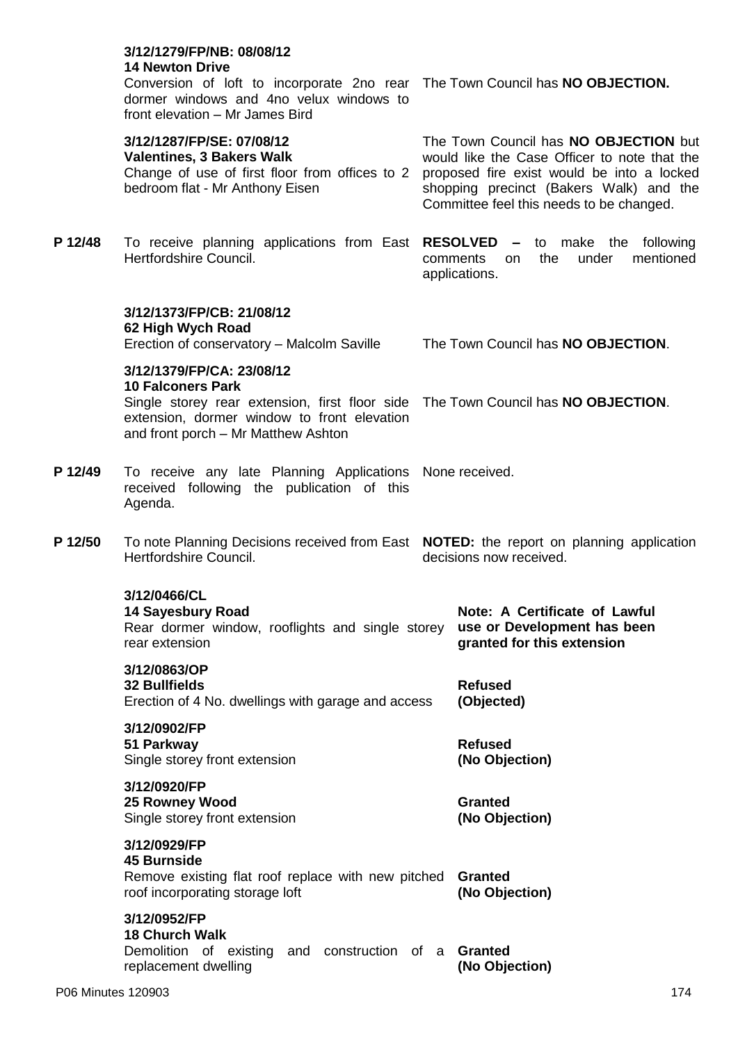|         | 3/12/1279/FP/NB: 08/08/12<br><b>14 Newton Drive</b><br>Conversion of loft to incorporate 2no rear The Town Council has NO OBJECTION.<br>dormer windows and 4no velux windows to<br>front elevation - Mr James Bird |                                  |                                                                                                                                                                                                                            |  |  |
|---------|--------------------------------------------------------------------------------------------------------------------------------------------------------------------------------------------------------------------|----------------------------------|----------------------------------------------------------------------------------------------------------------------------------------------------------------------------------------------------------------------------|--|--|
|         | 3/12/1287/FP/SE: 07/08/12<br><b>Valentines, 3 Bakers Walk</b><br>Change of use of first floor from offices to 2<br>bedroom flat - Mr Anthony Eisen                                                                 |                                  | The Town Council has NO OBJECTION but<br>would like the Case Officer to note that the<br>proposed fire exist would be into a locked<br>shopping precinct (Bakers Walk) and the<br>Committee feel this needs to be changed. |  |  |
| P 12/48 | To receive planning applications from East RESOLVED - to make the following<br>Hertfordshire Council.                                                                                                              |                                  | under<br>mentioned<br>the<br>comments<br>on.<br>applications.                                                                                                                                                              |  |  |
|         | 3/12/1373/FP/CB: 21/08/12<br>62 High Wych Road<br>Erection of conservatory - Malcolm Saville                                                                                                                       |                                  | The Town Council has NO OBJECTION.                                                                                                                                                                                         |  |  |
|         | 3/12/1379/FP/CA: 23/08/12                                                                                                                                                                                          |                                  |                                                                                                                                                                                                                            |  |  |
|         | <b>10 Falconers Park</b><br>Single storey rear extension, first floor side The Town Council has NO OBJECTION.<br>extension, dormer window to front elevation<br>and front porch - Mr Matthew Ashton                |                                  |                                                                                                                                                                                                                            |  |  |
| P 12/49 | To receive any late Planning Applications None received.<br>received following the publication of this<br>Agenda.                                                                                                  |                                  |                                                                                                                                                                                                                            |  |  |
| P 12/50 | To note Planning Decisions received from East <b>NOTED:</b> the report on planning application<br>Hertfordshire Council.<br>decisions now received.                                                                |                                  |                                                                                                                                                                                                                            |  |  |
|         | 3/12/0466/CL<br><b>14 Sayesbury Road</b><br>Rear dormer window, rooflights and single storey<br>rear extension                                                                                                     |                                  | Note: A Certificate of Lawful<br>use or Development has been<br>granted for this extension                                                                                                                                 |  |  |
|         | 3/12/0863/OP<br><b>32 Bullfields</b><br>Erection of 4 No. dwellings with garage and access                                                                                                                         | <b>Refused</b><br>(Objected)     |                                                                                                                                                                                                                            |  |  |
|         | 3/12/0902/FP<br>51 Parkway<br>Single storey front extension                                                                                                                                                        | <b>Refused</b><br>(No Objection) |                                                                                                                                                                                                                            |  |  |
|         | 3/12/0920/FP<br>25 Rowney Wood<br>Single storey front extension                                                                                                                                                    |                                  | <b>Granted</b><br>(No Objection)                                                                                                                                                                                           |  |  |
|         | 3/12/0929/FP<br><b>45 Burnside</b><br>Remove existing flat roof replace with new pitched<br>roof incorporating storage loft                                                                                        |                                  | <b>Granted</b><br>(No Objection)                                                                                                                                                                                           |  |  |
|         | 3/12/0952/FP<br><b>18 Church Walk</b><br>Demolition of existing and construction of a<br>replacement dwelling                                                                                                      |                                  | <b>Granted</b><br>(No Objection)                                                                                                                                                                                           |  |  |